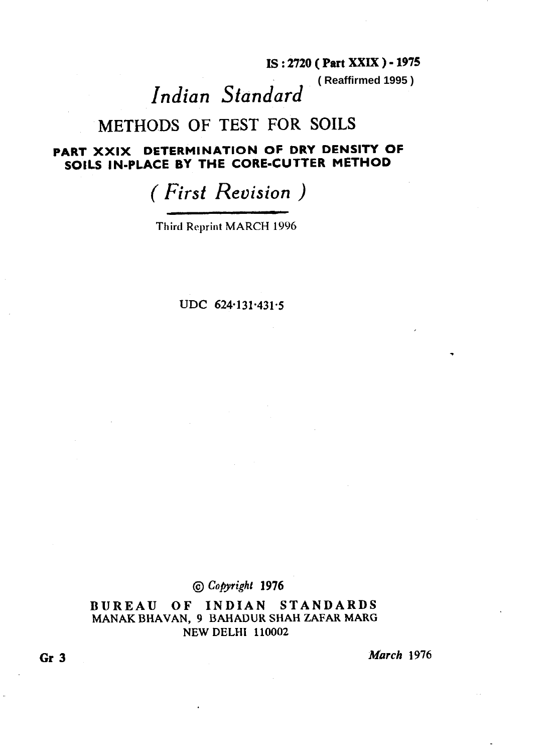### **IS : 2720 (** Part XXIX ) - **1975**

**( Reaffirmed 1995 )**

# *Indian Standard*

## METHODS OF TEST FOR SOILS

### PART XXIX DETERMINATION OF DRY DENSITY OF SOILS IN-PLACE BY THE CORE-CUTTER METHOD

## ( *First Revision )*

Third Reprint MARCH 1996

**UDC 624131-431-5** 

**@ Cojyrighr 1976** 

**BUREAU OF INDIAN STANDARDS**  MANAK BHAVAN, 9 BAHADUR SHAH ZAFAR MARG NEW DELHI 110002

**Gr 3 March 1976**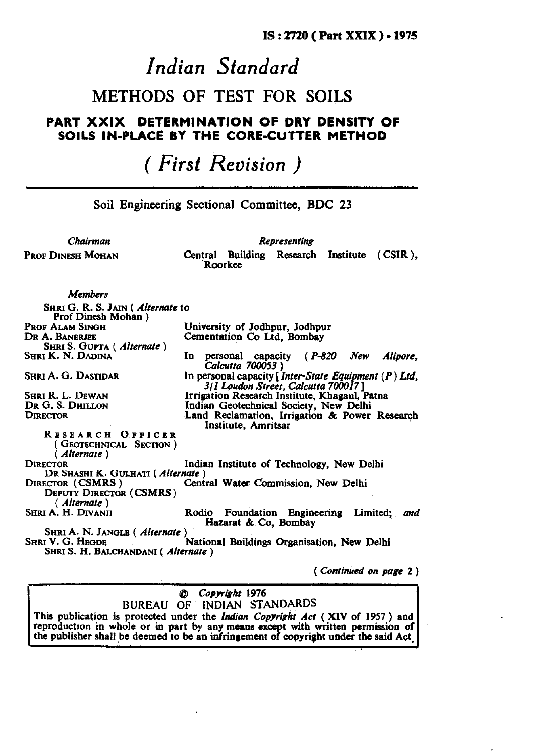# *Indian Standard*

## METHODS OF TEST FOR SOILS

### PART XXIX DETERMINATION **OF** DRY DENSITY OF SOILS IN-PLACE **BY** THE CORE-CUTTER METHOD

## *( First Revision )*

**Soil Engineering Sectional Committee, BDC 23** 

*Chairman Representing* 

**PROF DINESH MOHAN** Central Building Research Institute ( CSIR ), **ROOT** ROOTREE

**Members** 

**SHRI G. R. S. JAIN (** *Alternate* **to Prof Dinesh Mohan )**<br>**PROF ALAM SINGH University of Jodhpur, Jodhpur DR A. BANERIEE**  SHRI S. GUPTA (*Alternate* )<br>SHRI K. N. DADINA **Cementation Co Ltd, Bombay**  In personal capacity *(P-820 New Alipore, Calcutta 700053 )*  SHRI A. G. DASTIDAR **In personal capacity [Inter-State** *Equipment (P) Ltd. 311 Lou&n Street, Calcutta 7tWO P 7 ]*  SHRI R. L. DEWAN **Irrigation Research Institute, Khagaul, Patna DR G. S. DHILLON Indian Geotechnical Society. New Delhi DR G. S. DHILLON Indian Geotechnical Society, New Delhi DIRECTOR Land Reclamation Irrigation** & Power Land Reclamation, Irrigation & Power Research **Institute, Amritsar RESEARCH O.FFICER**  ( GEOTECHNICAL SECTION ) **(** *Alternate )*  Indian Institute of Technology, New Delhi **DR SHASHI K. GULHATI** (*Alternate* ) **DIRECTOR** (CSMRS) Centr **Central Water Commission, New Delhi DEPUTY DIRECTOR (CSMRS)** ( *Alternate )*  Rodio Foundation Engineering Limited; and SHRI A. N. JANGLE (*Alternate* SHRI V. G. HEGDE **Hazarat & Co, Bombay National Buildings Organisation, New Delhi SHRI S. H. BALCHANDANI (** *Alternate )* 

*( Continued on page 2 )* 

#### **@J Copyr[glrt 1976**  BUREAU OF IWDIAN STANDARDS

This publication is protected under the *Indian Copyright Act* (XIV of 1957) and reproduction in whole or in part by any means except with written permission of the publisher shall be deemed to be an infringement of copyright under the said Act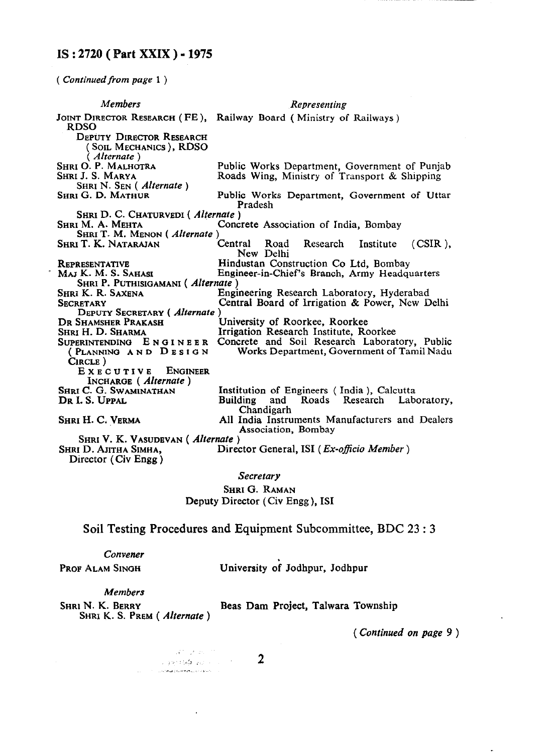### IS:2720( Part XXIX)- 1975

*( Continuedfrom page* 1 )

|                                  | <b>Members</b>                                                           | Representing                                                                                  |  |
|----------------------------------|--------------------------------------------------------------------------|-----------------------------------------------------------------------------------------------|--|
|                                  | <b>RDSO</b>                                                              | JOINT DIRECTOR RESEARCH (FE), Railway Board (Ministry of Railways)                            |  |
|                                  | <b>DEPUTY DIRECTOR RESEARCH</b><br>(SOIL MECHANICS), RDSO<br>(Alternate) |                                                                                               |  |
|                                  | <b>SHRI O. P. MALHOTRA</b><br>Shri J. S. Marya                           | Public Works Department, Government of Punjab<br>Roads Wing, Ministry of Transport & Shipping |  |
|                                  | SHRI N. SEN (Alternate)                                                  |                                                                                               |  |
|                                  | <b>SHRI G. D. MATHUR</b>                                                 | Public Works Department, Government of Uttar<br>Pradesh                                       |  |
|                                  | SHRI D. C. CHATURVEDI (Alternate)                                        |                                                                                               |  |
|                                  | <b>SHRI M. A. MEHTA</b><br>SHRI T. M. MENON (Alternate)                  | Concrete Association of India, Bombay                                                         |  |
|                                  | Shri T. K. Natarajan                                                     | Central Road Research Institute<br>$(CSIR)$ .<br>New Delhi                                    |  |
|                                  | <b>REPRESENTATIVE</b>                                                    | Hindustan Construction Co Ltd, Bombay                                                         |  |
|                                  | Maj K. M. S. Sahasi<br>SHRI P. PUTHISIGAMANI (Alternate)                 | Engineer-in-Chief's Branch, Army Headquarters                                                 |  |
|                                  | <b>SHRI K. R. SAXENA</b>                                                 | Engineering Research Laboratory, Hyderabad                                                    |  |
|                                  | <b>SECRETARY</b>                                                         | Central Board of Irrigation & Power, New Delhi                                                |  |
|                                  | DEPUTY SECRETARY (Alternate)                                             |                                                                                               |  |
|                                  | DR SHAMSHER PRAKASH                                                      | University of Roorkee, Roorkee                                                                |  |
|                                  | SHRI H. D. SHARMA                                                        | Irrigation Research Institute, Roorkee                                                        |  |
|                                  |                                                                          | SUPERINTENDING ENGINEER Concrete and Soil Research Laboratory, Public                         |  |
|                                  | (PLANNING AND DESIGN<br>CIRCLE)                                          | Works Department, Government of Tamil Nadu                                                    |  |
|                                  | EXECUTIVE ENGINEER<br>INCHARGE (Alternate)                               |                                                                                               |  |
|                                  | SHRI C. G. SWAMINATHAN                                                   | Institution of Engineers (India), Calcutta                                                    |  |
|                                  | DR I. S. UPPAL                                                           | Building<br>Roads Research Laboratory,<br>and<br>Chandigarh                                   |  |
|                                  | Shri H. C. Verma                                                         | All India Instruments Manufacturers and Dealers<br>Association, Bombay                        |  |
| SHRI V. K. VASUDEVAN (Alternate) |                                                                          |                                                                                               |  |
|                                  | SHRI D. AJITHA SIMHA.<br>Director (Civ Engg)                             | Director General, ISI ( <i>Ex-officio Member</i> )                                            |  |
|                                  |                                                                          |                                                                                               |  |

#### *Secretary*

#### SHRI G. RAMAN Deputy Director (Civ Engg ), IS1

Soil Testing Procedures and Equipment Subcommittee, BDC 23 : 3

| Convener<br>PROF ALAM SINGH | University of Jodhpur, Jodhpur |  |
|-----------------------------|--------------------------------|--|
| Members                     | .                              |  |
| .                           |                                |  |

SHRI N. K. BERRY Beas Dam Project, Talwara Township SHRI K. S. PREM ( *Alternate* )

*( Continued on page 9 )* 

 $\sqrt{\mathbf{c}}^{(n)}$  ,  $\mathbf{c}^{(n)}$  and  $\mathbf{c}^{(n)}$ e (1979)<br>1972 - El Partido de Carlos III<br>1973 - Alexandro de Carlos de Carlos III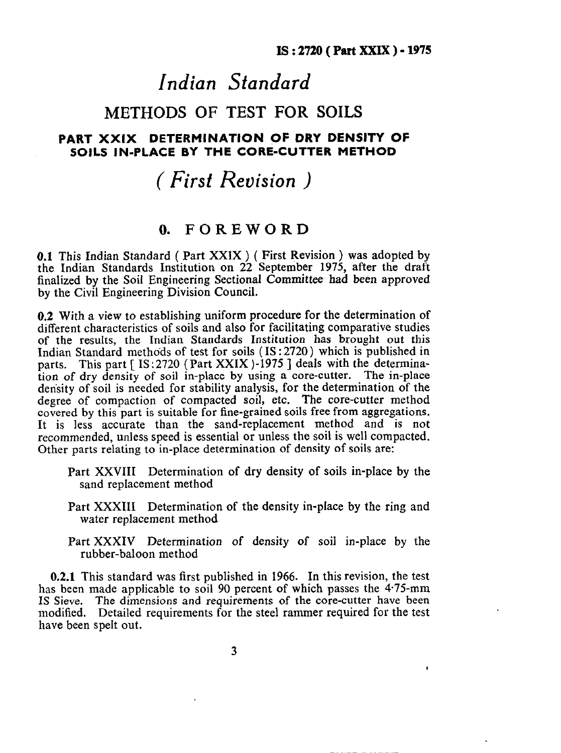$\epsilon$ 

## *Indian Standard*

## METHODS OF TEST FOR SOILS

### FART XXIX DETERMINATION QF DRY DENSITY OF SOILS IN-PLACE BY THE CORE-CUTTER METHOD

## *( First Reuision )*

## **0. FOREWORD**

0.1 This Indian Standard ( Part XXIX ) ( First Revision ) was adopted by the Indian Standards Institution on 22 September 1975, after the draft finalized by the SoiI Engineering Sectional Committee had been approved by the Civil Engineering Division Council.

0.2 With a view to establishing uniform procedure for the determination of different characteristics of soils and also for facilitating comparative studies of the results, the Indian Standards Institution has brought out this Indian Standard methods of test for soils (IS: 2720) which is published in parts. This part [ IS:2720 (Part XXIX )-1975 ] deals with the determination of dry density of soil in-place by using a core-cutter. The in-place density of soil is needed for stability analysis, for the determination of the degree of compaction of compacted soil, etc. The core-cutter method covered by this part is suitable for fine-grained soils free from aggregations. It is less accurate than the sand-replacement method and is not recommended, unless speed is essential or unless the soil is well compacted. Other parts relating to in-place determination of density of soils are:

- Part XXVIII Determination of dry density of soils in-place by the sand replacement method
- Part XXXIII Determination of the density in-place by the ring and water replacement method
- Part XXXIV Determination of density of soil in-place by the rubber-baloon method

0.2.1 This standard was first published in 1966. In this revision, the test has been made applicable to soil 90 percent of which passes the 4.75-mm IS Sieve. The dimensions and requirements of the core-cutter have been modified. Detailed requirements for the steel rammer required for the test have been spelt out.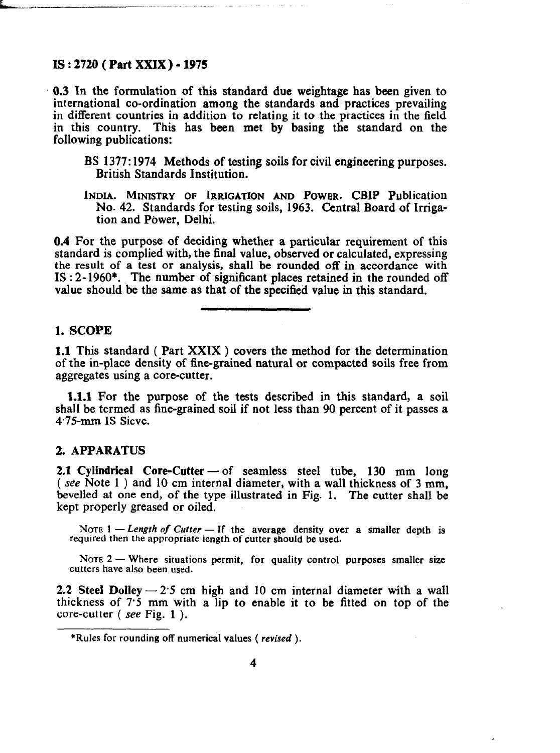#### **IS : 2720 ( Part XXIX) - 1975**

**0.3** In **the fomulation of this standard** due weightage has been given to international co-ordination among the standards and practices prevailing in different countries in addition to relating it to the practices in the field in this country. This has been met by basing the standard on the following publications:

- BS 1377: 1974 Methods of testing soils for civil engineering purposes. British Standards Institution.
- INDIA. **MINISTRY OF IRRIGATION AND** POWER. CBIP Publication No. 42. Standards for testing soils, 1963. Central Board of Irrigation and Power, Delhi.

0.4 For the purpose of deciding whether a particular requirement of this standard is complied with, the final value, observed or calculated, expressing the result of a test or analysis, shall be rounded off in accordance with IS : 2- 1960\*. The number of significant places retained in the rounded off value should be the same as that of the specified value in this standard.

#### **1. SCOPE**

**1.1** This standard ( Part XXIX ) covers the method for the determination of the in-place density of fine-grained natural or compacted soils free from aggregates using a core-cutter.

**1.1.1** For the purpose of the tests described in this standard, a soil shall be termed as fine-grained soil if not less than 90 percent of it passes a 4.75~mm IS Sieve.

#### 2. **APPARATUS**

2.1 Cylindrical Core-Cutter - of seamless steel tube, 130 mm long ( see Note 1) and 10 cm internal diameter, with a wall thickness of 3 mm, hevelled at one end, of the type illustrated in Fig. 1. The cutter shall be kept properly greased or oiled.

NOTE  $1 - Length of$  Cutter  $-$  If the average density over a smaller depth is **required then the appropriate length of curter should be used.** 

Note 2 — Where situations permit, for quality control purposes smaller size **cutters have also been used.** 

2.2 Steel Dolley  $-2.5$  cm high and 10 cm internal diameter with a wall thickness of 7'5 mm with a lip to enable it to be fitted on top of the core-cutter ( see Fig. 1 ).

**<sup>\*</sup>Rules for rounding off numerical values (** *revised ).*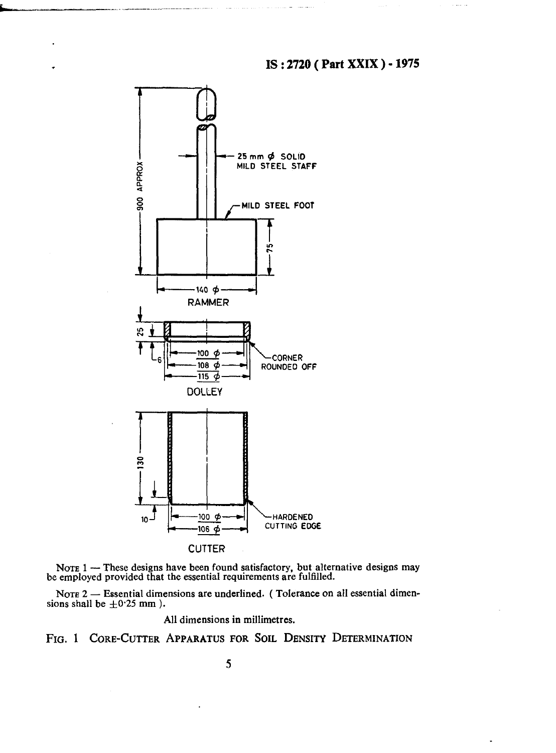



NOTE 2 - Essential dimensions are underlined. (Tolerance on all essential dimensions shall be  $\pm 0.25$  mm ).

All dimensions in millimetres.

**FIG. 1 CORE-CUTTER APPARATUS FOR SOIL DENSITY DETERMINATION**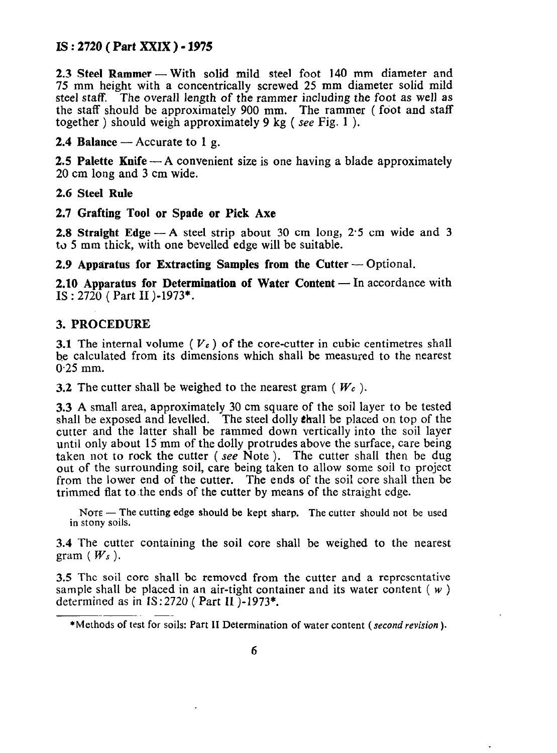### **IS : 2720 ( Part XXIX ) - 1975**

**2.3 Steel Rammer -- With solid mild steel foot 140 mm diameter and** 75 mm height with a concentrically screwed 25 mm diameter solid mild steel staff. The overall length of the rammer including the foot as well as the staff should be approximately 900 mm. The rammer (foot and staff together ) should weigh approximately 9 kg (see Fig. 1).

**2.4 Balance**  $-$  Accurate to 1 g.

**2.5 Palette Knife** — A convenient size is one having a blade approximately 20 cm long and 3 cm wide.

2.6 Steel **Rule** 

**2.7 Grafting Tool or Spade or Pick Axe** 

**2.8 Straight Edge**  $- A$  **steel strip about 30 cm long, 2.5 cm wide and 3** to 5 mm thick, with one bevelled edge will be suitable.

2.9 **Apparatus for Extracting Samples from the Cutter** — Optional.

**2.10 Apparatus for Determination of Water Content** — In accordance with **IS** : **2720** ( Part II )-1973\*.

#### 3. PROCEDURE

**3.1** The internal volume ( $V_c$ ) of the core-cutter in cubic centimetres shall  $\mathbf{b}$ . The internal volume ( $\mathbf{v} \epsilon$ ) of the core-currel in cubic centrifierted share be calculated from its dimensions which shall be measured to the nearest 0.25 mm.

3.2 The cutter shall be weighed to the nearest gram ( $W_c$ ).

3.3 A small area, approximately 30 cm square of the soil layer to be tested shall be exposed and levelled. The steel dolly **thall be** placed on top of the cutter and the latter shall be rammed down vertically into the soil layer until only about 15 mm of the dolly protrudes above the surface, care being taken not to rock the cutter (see Note). The cutter shall then be dug out of the surrounding soil, care being taken to allow some soil to project from the lower end of the cutter. The ends of the soil core shall then be trimmed flat to the ends of the cutter by means of the straight edge.

NOTE - The cutting edge should be kept sharp. The cutter should not be used in stony soils.

3.4 The cutter containing the soil core shall be weighed to the nearest gram  $(W_s)$ .

3.5 The soil core shall be removed from the cutter and a representative sample shall be placed in an air-tight container and its water content  $(w)$ determined as in  $IS:2720$  (Part II)-1973\*.

<sup>\*</sup>Methods of test for soils: Part II Determination of water content *(secondrevision ).*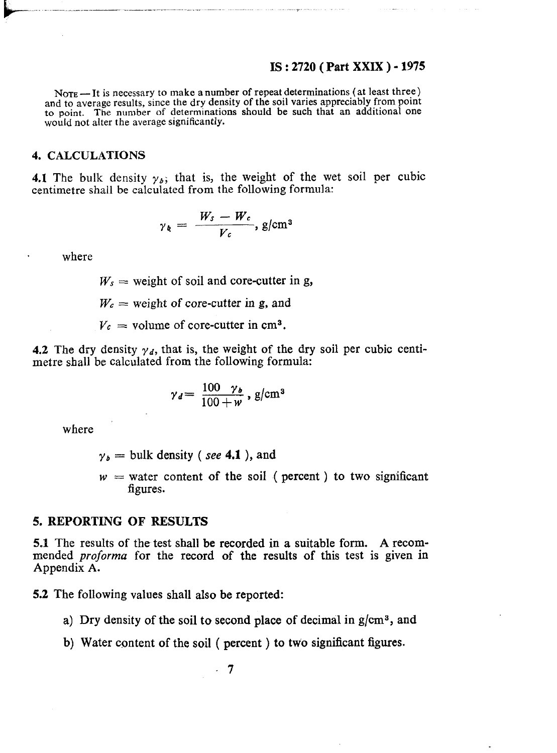#### IS : 2720 (Part XXIX ) - 1975

 $N<sub>OTE</sub>$  - It is necessary to make a number of repeat determinations (at least three) and to average results, since the dry density of the soil varies appreciably from point to point. The number of determinations should be such that an additional one would not alter the average significantly.

#### 4. CALCULATIONS

4.1 The bulk density  $y_{\delta}$ ; that is, the weight of the wet soil per cubic centimetre shall be calculated from the following formula:

$$
\gamma_{k} = \frac{W_{s} - W_{c}}{V_{c}}, \text{g/cm}^{3}
$$

where

 $W_s$  = weight of soil and core-cutter in g,

 $W_c$  = weight of core-cutter in g, and

 $V_c$  = volume of core-cutter in cm<sup>3</sup>.

4.2 The dry density  $\gamma_d$ , that is, the weight of the dry soil per cubic centi metre shall be calculated from the following formula:

$$
\gamma_d = \frac{100 \gamma_b}{100 + w}, g/cm^3
$$

where

- $y_b = \text{bulk density}$  (see 4.1), and
- $w =$  water content of the soil ( percent ) to two significant figures.

#### 5. REPORTING OF RESULTS

5.1 The results of the test shall be recorded in a suitable form. A recommended *proforma* for the record of the results of this test is given in Appendix A.

5.2 The following values shall also be reported:

- a) Dry density of the soil to second place of decimal in  $g/cm^3$ , and
- b) Water content of the soil ( percent ) to two significant figures.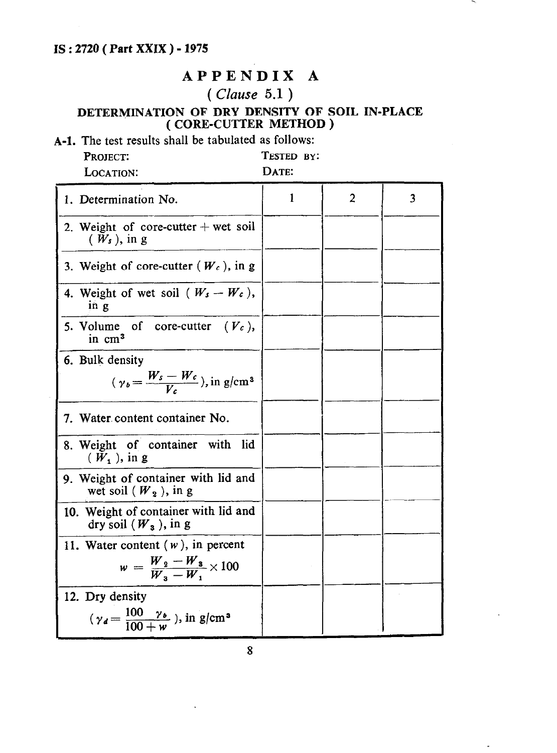## **IS : 2720 ( Part XXIX ) - 1975**

## **APPENDIX A**

# **(** *Clause* **5.1 )**

### **DETERMINATION OF DRY DENSITY OF SOIL IN-PLACE ( CORE-CUTTER METHOD )**

**A-l.** The test results shall be tabulated as follows: PROJECT: TESTED BY:<br>
LOCATION: DATE:

LOCATION:

| 1. Determination No.                                                                  | 1 | $\overline{a}$ | 3 |
|---------------------------------------------------------------------------------------|---|----------------|---|
| 2. Weight of core-cutter $+$ wet soil<br>$(W_s)$ , in g                               |   |                |   |
| 3. Weight of core-cutter $(W_c)$ , in g                                               |   |                |   |
| 4. Weight of wet soil ( $W_s - W_c$ ),<br>in g                                        |   |                |   |
| 5. Volume of core-cutter $(V_c)$ ,<br>in cm <sup>3</sup>                              |   |                |   |
| 6. Bulk density<br>$(\gamma_b = \frac{W_s - W_c}{V_s})$ , in g/cm <sup>3</sup>        |   |                |   |
| Water content container No.<br>7.                                                     |   |                |   |
| 8. Weight of container<br>lid<br>with<br>$(W_1)$ , in g                               |   |                |   |
| 9. Weight of container with lid and<br>wet soil $(W_2)$ , in g                        |   |                |   |
| 10. Weight of container with lid and<br>dry soil $(W_3)$ , in g                       |   |                |   |
| 11. Water content $(w)$ , in percent<br>$w = \frac{W_2 - W_3}{W_2 - W_4} \times 100$  |   |                |   |
| 12. Dry density<br>$(\gamma_d = \frac{100 \gamma_b}{100 + w})$ , in g/cm <sup>3</sup> |   |                |   |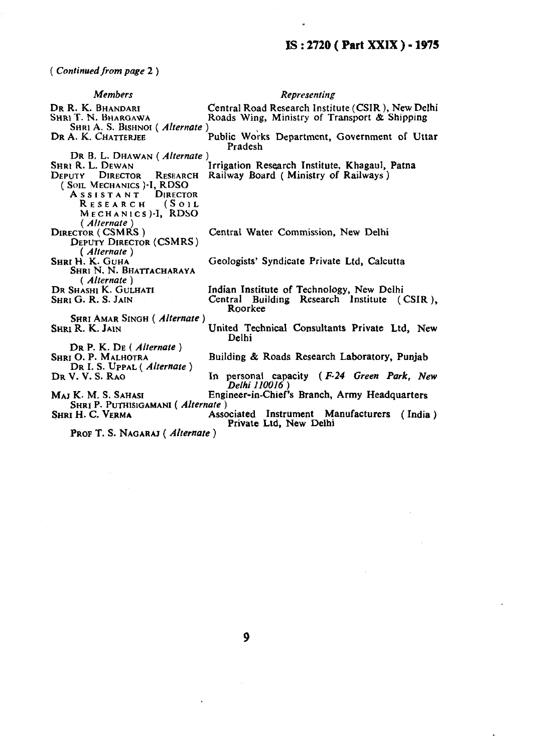$\alpha$ 

*( Continued from page 2 )* 

| <b>Members</b>                                                                     | Representing                                                                                      |  |  |  |  |
|------------------------------------------------------------------------------------|---------------------------------------------------------------------------------------------------|--|--|--|--|
| DR R. K. BHANDARI<br>SHRI T. N. BHARGAWA<br>SHRI A. S. BISHNOI (Alternate)         | Central Road Research Institute (CSIR), New Delhi<br>Roads Wing, Ministry of Transport & Shipping |  |  |  |  |
| DR A. K. CHATTERJEE                                                                | Public Works Department, Government of Uttar<br>Pradesh                                           |  |  |  |  |
| DR B. L. DHAWAN (Alternate)                                                        |                                                                                                   |  |  |  |  |
| Shri R. L. Dewan                                                                   | Irrigation Research Institute, Khagaul, Patna                                                     |  |  |  |  |
| DEPUTY DIRECTOR RESEARCH                                                           | Railway Board (Ministry of Railways)                                                              |  |  |  |  |
| (SOIL MECHANICS)-I, RDSO<br>ASSISTANT DIRECTOR                                     |                                                                                                   |  |  |  |  |
| RESEARCH (SOIL                                                                     |                                                                                                   |  |  |  |  |
| MECHANICS .- I. RDSO                                                               |                                                                                                   |  |  |  |  |
| (Alternate)                                                                        |                                                                                                   |  |  |  |  |
| <b>DIRECTOR (CSMRS)</b>                                                            | Central Water Commission, New Delhi                                                               |  |  |  |  |
| <b>DEPUTY DIRECTOR (CSMRS)</b>                                                     |                                                                                                   |  |  |  |  |
| (Alternate)                                                                        |                                                                                                   |  |  |  |  |
| Shri H. K. Guha                                                                    | Geologists' Syndicate Private Ltd, Calcutta                                                       |  |  |  |  |
| SHRI N. N. BHATTACHARAYA                                                           |                                                                                                   |  |  |  |  |
| (Alternate)                                                                        |                                                                                                   |  |  |  |  |
| Dr Shashi K. Gulhati                                                               | Indian Institute of Technology, New Delhi                                                         |  |  |  |  |
| SHRI G. R. S. JAIN                                                                 | Central Building Research Institute (CSIR).<br>Roorkee                                            |  |  |  |  |
| <b>SHRI AMAR SINGH (Alternate)</b>                                                 |                                                                                                   |  |  |  |  |
| <b>SHRI R. K. JAIN</b>                                                             | United Technical Consultants Private Ltd. New<br>Delhi                                            |  |  |  |  |
| $\mathbf{D}\mathbf{R} \mathbf{P}$ . K. $\mathbf{D}\mathbf{E}$ ( <i>Alternate</i> ) |                                                                                                   |  |  |  |  |
| <b>SHRI O. P. MALHOTRA</b>                                                         | Building & Roads Research Laboratory, Punjab                                                      |  |  |  |  |
| DR I. S. Uppal (Alternate)<br>DR V. V. S. RAO                                      | In personal capacity (F-24 Green Park, New                                                        |  |  |  |  |
|                                                                                    | Delhi 110016)                                                                                     |  |  |  |  |
| Maj K. M. S. Sahasi<br>SHRI P. PUTHISIGAMANI (Alternate)                           | Engineer-in-Chief's Branch, Army Headquarters                                                     |  |  |  |  |
| SHRI H. C. VERMA                                                                   | Associated Instrument Manufacturers<br>(India)<br>Private Ltd, New Delhi                          |  |  |  |  |
| PROF T. S. NAGARAJ (Alternate)                                                     |                                                                                                   |  |  |  |  |